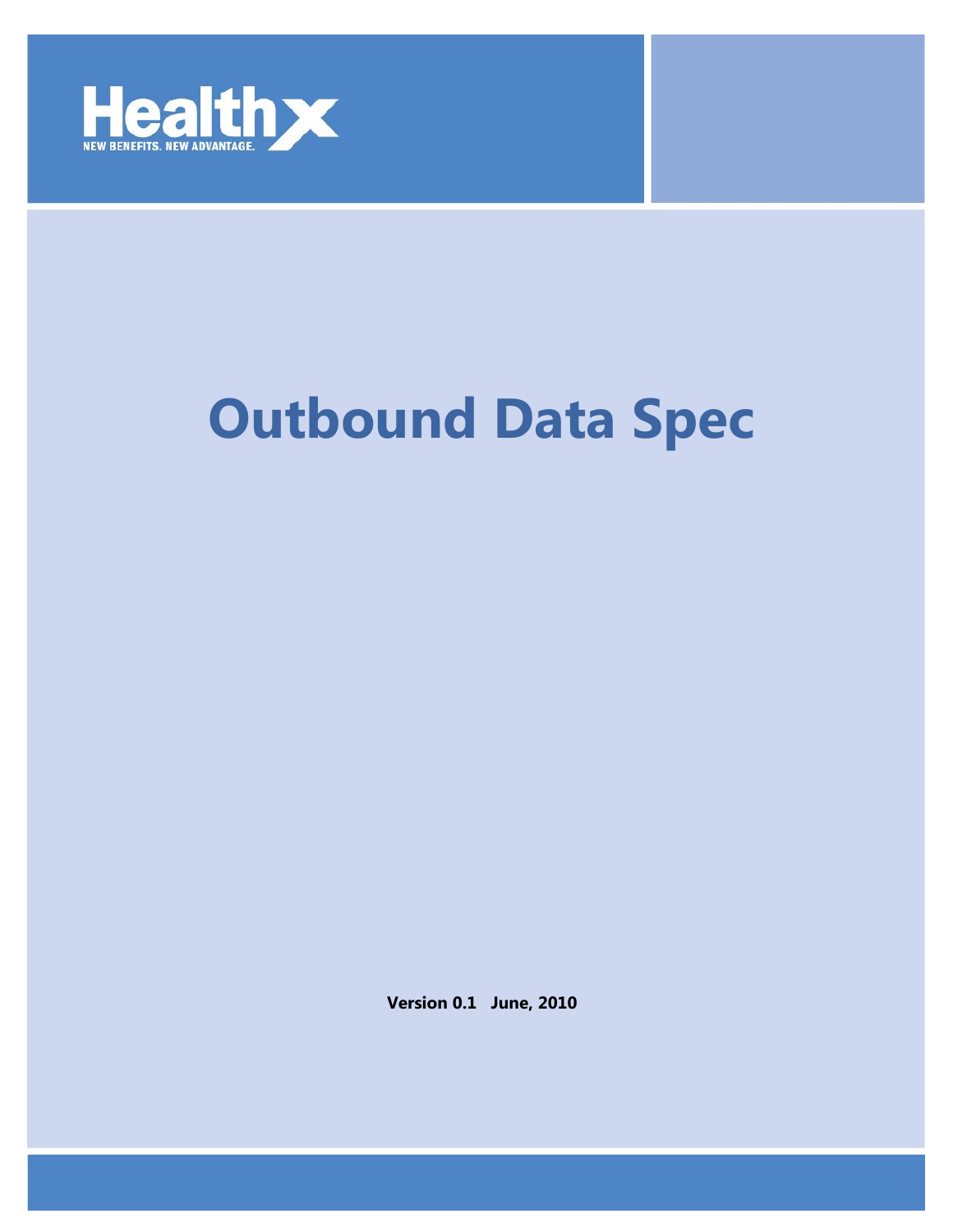

## **Outbound Data Spec**

**Version 0.1 June, 2010**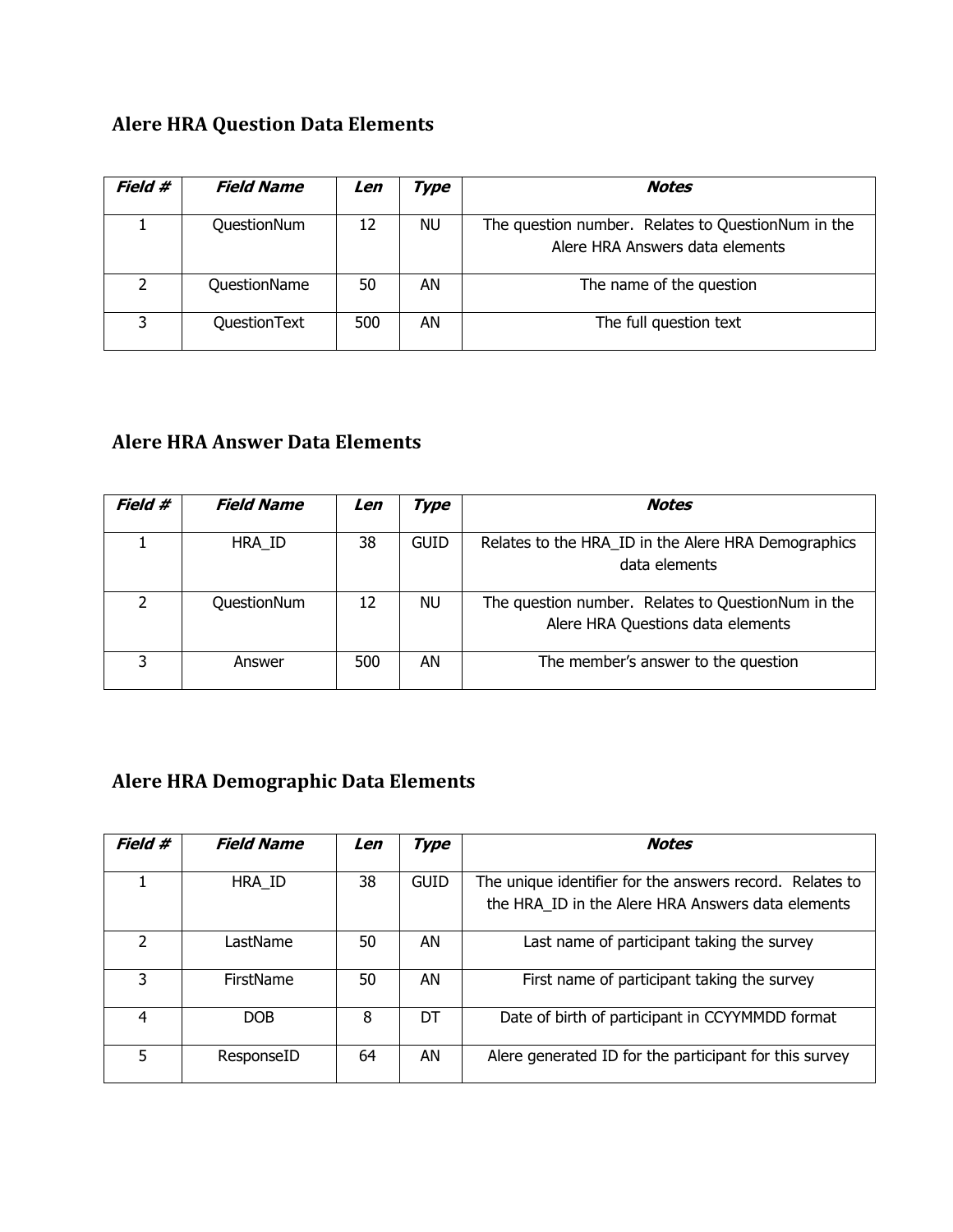## **Alere HRA Question Data Elements**

| Field #        | <b>Field Name</b> | Len | Гуре | <b>Notes</b>                                                                          |
|----------------|-------------------|-----|------|---------------------------------------------------------------------------------------|
|                | QuestionNum       | 12  | NU   | The question number. Relates to QuestionNum in the<br>Alere HRA Answers data elements |
| $\overline{2}$ | QuestionName      | 50  | AN   | The name of the question                                                              |
| ર              | QuestionText      | 500 | AN   | The full question text                                                                |

## **Alere HRA Answer Data Elements**

| Field # | <i><b>Field Name</b></i> | Len | Type        | <b>Notes</b>                                                                            |
|---------|--------------------------|-----|-------------|-----------------------------------------------------------------------------------------|
|         | HRA ID                   | 38  | <b>GUID</b> | Relates to the HRA_ID in the Alere HRA Demographics<br>data elements                    |
|         | QuestionNum              | 12  | NU.         | The question number. Relates to QuestionNum in the<br>Alere HRA Questions data elements |
| 3       | Answer                   | 500 | AN          | The member's answer to the question                                                     |

## **Alere HRA Demographic Data Elements**

| Field #       | <b>Field Name</b> | Len | Type        | <b>Notes</b>                                                                                                  |
|---------------|-------------------|-----|-------------|---------------------------------------------------------------------------------------------------------------|
|               | HRA ID            | 38  | <b>GUID</b> | The unique identifier for the answers record. Relates to<br>the HRA ID in the Alere HRA Answers data elements |
| $\mathcal{P}$ | LastName          | 50  | AN          | Last name of participant taking the survey                                                                    |
| 3             | <b>FirstName</b>  | 50  | AN          | First name of participant taking the survey                                                                   |
| 4             | DOB.              | 8   | DT          | Date of birth of participant in CCYYMMDD format                                                               |
| 5             | ResponseID        | 64  | AN          | Alere generated ID for the participant for this survey                                                        |